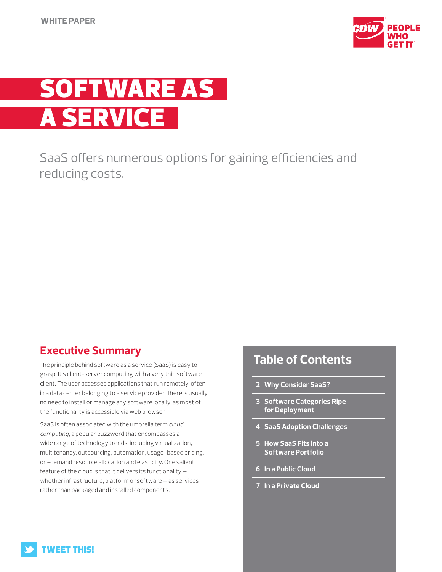



SaaS offers numerous options for gaining efficiencies and reducing costs.

## **Executive Summary**

The principle behind software as a service (SaaS) is easy to grasp: It's client-server computing with a very thin software client. The user accesses applications that run remotely, often in a data center belonging to a service provider. There is usually no need to install or manage any software locally, as most of the functionality is accessible via web browser.

SaaS is often associated with the umbrella term *cloud computing*, a popular buzzword that encompasses a wide range of technology trends, including virtualization, multitenancy, outsourcing, automation, usage-based pricing, on-demand resource allocation and elasticity. One salient feature of the cloud is that it delivers its functionality whether infrastructure, platform or software — as services rather than packaged and installed components.

# **Table of Contents**

- **2 Why Consider SaaS?**
- **3 Software Categories Ripe for Deployment**
- **4 SaaS Adoption Challenges**
- **5 How SaaS Fits into a Software Portfolio**
- **6 In a Public Cloud**
- **7 In a Private Cloud**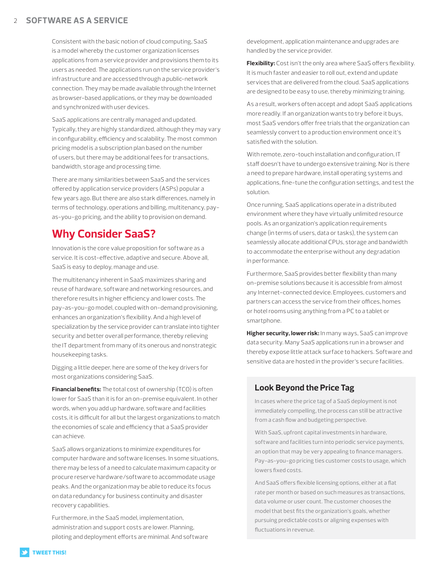Consistent with the basic notion of cloud computing, SaaS is a model whereby the customer organization licenses applications from a service provider and provisions them to its users as needed. The applications run on the service provider's infrastructure and are accessed through a public-network connection. They may be made available through the Internet as browser-based applications, or they may be downloaded and synchronized with user devices.

SaaS applications are centrally managed and updated. Typically, they are highly standardized, although they may vary in configurability, efficiency and scalability. The most common pricing model is a subscription plan based on the number of users, but there may be additional fees for transactions, bandwidth, storage and processing time.

There are many similarities between SaaS and the services offered by application service providers (ASPs) popular a few years ago. But there are also stark differences, namely in terms of technology, operations and billing, multitenancy, payas-you-go pricing, and the ability to provision on demand.

## **Why Consider SaaS?**

Innovation is the core value proposition for software as a service. It is cost-effective, adaptive and secure. Above all, SaaS is easy to deploy, manage and use.

The multitenancy inherent in SaaS maximizes sharing and reuse of hardware, software and networking resources, and therefore results in higher efficiency and lower costs. The pay-as-you-go model, coupled with on-demand provisioning, enhances an organization's flexibility. And a high level of specialization by the service provider can translate into tighter security and better overall performance, thereby relieving the IT department from many of its onerous and nonstrategic housekeeping tasks.

Digging a little deeper, here are some of the key drivers for most organizations considering SaaS.

**Financial benefits:** The total cost of ownership (TCO) is often lower for SaaS than it is for an on-premise equivalent. In other words, when you add up hardware, software and facilities costs, it is difficult for all but the largest organizations to match the economies of scale and efficiency that a SaaS provider can achieve.

SaaS allows organizations to minimize expenditures for computer hardware and software licenses. In some situations, there may be less of a need to calculate maximum capacity or procure reserve hardware/software to accommodate usage peaks. And the organization may be able to reduce its focus on data redundancy for business continuity and disaster recovery capabilities.

Furthermore, in the SaaS model, implementation, administration and support costs are lower. Planning, piloting and deployment efforts are minimal. And software

development, application maintenance and upgrades are handled by the service provider.

**Flexibility:** Cost isn't the only area where SaaS offers flexibility. It is much faster and easier to roll out, extend and update services that are delivered from the cloud. SaaS applications are designed to be easy to use, thereby minimizing training.

As a result, workers often accept and adopt SaaS applications more readily. If an organization wants to try before it buys, most SaaS vendors offer free trials that the organization can seamlessly convert to a production environment once it's satisfied with the solution.

With remote, zero-touch installation and configuration, IT staff doesn't have to undergo extensive training. Nor is there a need to prepare hardware, install operating systems and applications, fine-tune the configuration settings, and test the solution.

Once running, SaaS applications operate in a distributed environment where they have virtually unlimited resource pools. As an organization's application requirements change (in terms of users, data or tasks), the system can seamlessly allocate additional CPUs, storage and bandwidth to accommodate the enterprise without any degradation in performance.

Furthermore, SaaS provides better flexibility than many on-premise solutions because it is accessible from almost any Internet-connected device. Employees, customers and partners can access the service from their offices, homes or hotel rooms using anything from a PC to a tablet or smartphone.

**Higher security, lower risk:** In many ways, SaaS can improve data security. Many SaaS applications run in a browser and thereby expose little attack surface to hackers. Software and sensitive data are hosted in the provider's secure facilities.

### **Look Beyond the Price Tag**

In cases where the price tag of a SaaS deployment is not immediately compelling, the process can still be attractive from a cash flow and budgeting perspective.

With SaaS, upfront capital investments in hardware, software and facilities turn into periodic service payments, an option that may be very appealing to finance managers. Pay-as-you-go pricing ties customer costs to usage, which lowers fixed costs.

And SaaS offers flexible licensing options, either at a flat rate per month or based on such measures as transactions, data volume or user count. The customer chooses the model that best fits the organization's goals, whether pursuing predictable costs or aligning expenses with fluctuations in revenue.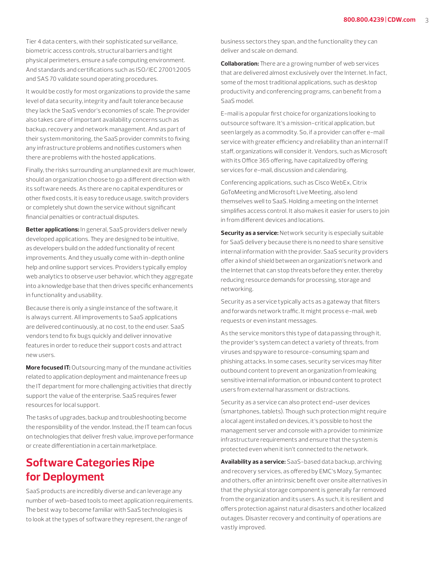Tier 4 data centers, with their sophisticated surveillance, biometric access controls, structural barriers and tight physical perimeters, ensure a safe computing environment. And standards and certifications such as ISO/IEC 27001:2005 and SAS 70 validate sound operating procedures.

It would be costly for most organizations to provide the same level of data security, integrity and fault tolerance because they lack the SaaS vendor's economies of scale. The provider also takes care of important availability concerns such as backup, recovery and network management. And as part of their system monitoring, the SaaS provider commits to fixing any infrastructure problems and notifies customers when there are problems with the hosted applications.

Finally, the risks surrounding an unplanned exit are much lower, should an organization choose to go a different direction with its software needs. As there are no capital expenditures or other fixed costs, it is easy to reduce usage, switch providers or completely shut down the service without significant financial penalties or contractual disputes.

**Better applications:** In general, SaaS providers deliver newly developed applications. They are designed to be intuitive, as developers build on the added functionality of recent improvements. And they usually come with in-depth online help and online support services. Providers typically employ web analytics to observe user behavior, which they aggregate into a knowledge base that then drives specific enhancements in functionality and usability.

Because there is only a single instance of the software, it is always current. All improvements to SaaS applications are delivered continuously, at no cost, to the end user. SaaS vendors tend to fix bugs quickly and deliver innovative features in order to reduce their support costs and attract new users.

**More focused IT:** Outsourcing many of the mundane activities related to application deployment and maintenance frees up the IT department for more challenging activities that directly support the value of the enterprise. SaaS requires fewer resources for local support.

The tasks of upgrades, backup and troubleshooting become the responsibility of the vendor. Instead, the IT team can focus on technologies that deliver fresh value, improve performance or create differentiation in a certain marketplace.

## **Software Categories Ripe for Deployment**

SaaS products are incredibly diverse and can leverage any number of web-based tools to meet application requirements. The best way to become familiar with SaaS technologies is to look at the types of software they represent, the range of

business sectors they span, and the functionality they can deliver and scale on demand.

**Collaboration:** There are a growing number of web services that are delivered almost exclusively over the Internet. In fact, some of the most traditional applications, such as desktop productivity and conferencing programs, can benefit from a SaaS model.

E-mail is a popular first choice for organizations looking to outsource software. It's a mission-critical application, but seen largely as a commodity. So, if a provider can offer e-mail service with greater efficiency and reliability than an internal IT staff, organizations will consider it. Vendors, such as Microsoft with its Office 365 offering, have capitalized by offering services for e-mail, discussion and calendaring.

Conferencing applications, such as Cisco WebEx, Citrix GoToMeeting and Microsoft Live Meeting, also lend themselves well to SaaS. Holding a meeting on the Internet simplifies access control. It also makes it easier for users to join in from different devices and locations.

**Security as a service:** Network security is especially suitable for SaaS delivery because there is no need to share sensitive internal information with the provider. SaaS security providers offer a kind of shield between an organization's network and the Internet that can stop threats before they enter, thereby reducing resource demands for processing, storage and networking.

Security as a service typically acts as a gateway that filters and forwards network traffic. It might process e-mail, web requests or even instant messages.

As the service monitors this type of data passing through it, the provider's system can detect a variety of threats, from viruses and spyware to resource-consuming spam and phishing attacks. In some cases, security services may filter outbound content to prevent an organization from leaking sensitive internal information, or inbound content to protect users from external harassment or distractions.

Security as a service can also protect end-user devices (smartphones, tablets). Though such protection might require a local agent installed on devices, it's possible to host the management server and console with a provider to minimize infrastructure requirements and ensure that the system is protected even when it isn't connected to the network.

**Availability as a service:** SaaS-based data backup, archiving and recovery services, as offered by EMC's Mozy, Symantec and others, offer an intrinsic benefit over onsite alternatives in that the physical storage component is generally far removed from the organization and its users. As such, it is resilient and offers protection against natural disasters and other localized outages. Disaster recovery and continuity of operations are vastly improved.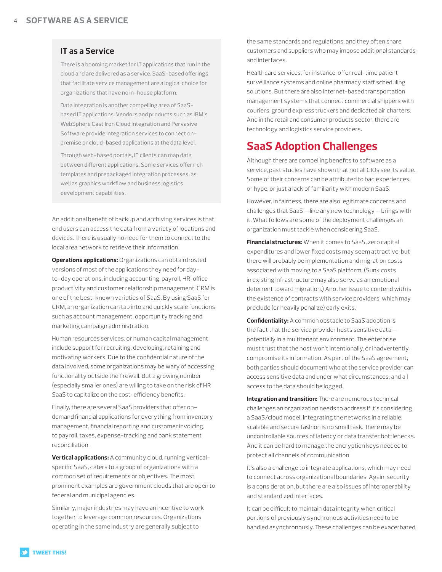#### **IT as a Service**

There is a booming market for IT applications that run in the cloud and are delivered as a service. SaaS-based offerings that facilitate service management are a logical choice for organizations that have no in-house platform.

Data integration is another compelling area of SaaSbased IT applications. Vendors and products such as IBM's WebSphere Cast Iron Cloud Integration and Pervasive Software provide integration services to connect onpremise or cloud-based applications at the data level.

Through web-based portals, IT clients can map data between different applications. Some services offer rich templates and prepackaged integration processes, as well as graphics workflow and business logistics development capabilities.

An additional benefit of backup and archiving services is that end users can access the data from a variety of locations and devices. There is usually no need for them to connect to the local area network to retrieve their information.

**Operations applications:** Organizations can obtain hosted versions of most of the applications they need for dayto-day operations, including accounting, payroll, HR, office productivity and customer relationship management. CRM is one of the best-known varieties of SaaS. By using SaaS for CRM, an organization can tap into and quickly scale functions such as account management, opportunity tracking and marketing campaign administration.

Human resources services, or human capital management, include support for recruiting, developing, retaining and motivating workers. Due to the confidential nature of the data involved, some organizations may be wary of accessing functionality outside the firewall. But a growing number (especially smaller ones) are willing to take on the risk of HR SaaS to capitalize on the cost-efficiency benefits.

Finally, there are several SaaS providers that offer ondemand financial applications for everything from inventory management, financial reporting and customer invoicing, to payroll, taxes, expense-tracking and bank statement reconciliation.

**Vertical applications:** A community cloud, running verticalspecific SaaS, caters to a group of organizations with a common set of requirements or objectives. The most prominent examples are government clouds that are open to federal and municipal agencies.

Similarly, major industries may have an incentive to work together to leverage common resources. Organizations operating in the same industry are generally subject to

the same standards and regulations, and they often share customers and suppliers who may impose additional standards and interfaces.

Healthcare services, for instance, offer real-time patient surveillance systems and online pharmacy staff scheduling solutions. But there are also Internet-based transportation management systems that connect commercial shippers with couriers, ground express truckers and dedicated air charters. And in the retail and consumer products sector, there are technology and logistics service providers.

## **SaaS Adoption Challenges**

Although there are compelling benefits to software as a service, past studies have shown that not all CIOs see its value. Some of their concerns can be attributed to bad experiences, or hype, or just a lack of familiarity with modern SaaS.

However, in fairness, there are also legitimate concerns and challenges that SaaS — like any new technology — brings with it. What follows are some of the deployment challenges an organization must tackle when considering SaaS.

**Financial structures:** When it comes to SaaS, zero capital expenditures and lower fixed costs may seem attractive, but there will probably be implementation and migration costs associated with moving to a SaaS platform. (Sunk costs in existing infrastructure may also serve as an emotional deterrent toward migration.) Another issue to contend with is the existence of contracts with service providers, which may preclude (or heavily penalize) early exits.

**Confidentiality:** A common obstacle to SaaS adoption is the fact that the service provider hosts sensitive data potentially in a multitenant environment. The enterprise must trust that the host won't intentionally, or inadvertently, compromise its information. As part of the SaaS agreement, both parties should document who at the service provider can access sensitive data and under what circumstances, and all access to the data should be logged.

**Integration and transition:** There are numerous technical challenges an organization needs to address if it's considering a SaaS/cloud model. Integrating the networks in a reliable, scalable and secure fashion is no small task. There may be uncontrollable sources of latency or data transfer bottlenecks. And it can be hard to manage the encryption keys needed to protect all channels of communication.

It's also a challenge to integrate applications, which may need to connect across organizational boundaries. Again, security is a consideration, but there are also issues of interoperability and standardized interfaces.

It can be difficult to maintain data integrity when critical portions of previously synchronous activities need to be handled asynchronously. These challenges can be exacerbated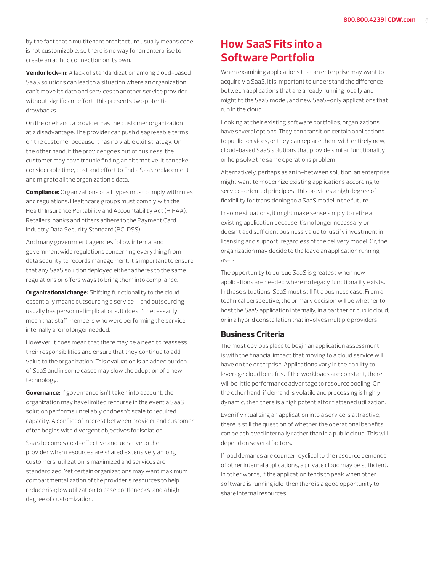by the fact that a multitenant architecture usually means code is not customizable, so there is no way for an enterprise to create an ad hoc connection on its own.

**Vendor lock-in:** A lack of standardization among cloud-based SaaS solutions can lead to a situation where an organization can't move its data and services to another service provider without significant effort. This presents two potential drawbacks.

On the one hand, a provider has the customer organization at a disadvantage. The provider can push disagreeable terms on the customer because it has no viable exit strategy. On the other hand, if the provider goes out of business, the customer may have trouble finding an alternative. It can take considerable time, cost and effort to find a SaaS replacement and migrate all the organization's data.

**Compliance:** Organizations of all types must comply with rules and regulations. Healthcare groups must comply with the Health Insurance Portability and Accountability Act (HIPAA). Retailers, banks and others adhere to the Payment Card Industry Data Security Standard (PCI DSS).

And many government agencies follow internal and governmentwide regulations concerning everything from data security to records management. It's important to ensure that any SaaS solution deployed either adheres to the same regulations or offers ways to bring them into compliance.

**Organizational change:** Shifting functionality to the cloud essentially means outsourcing a service — and outsourcing usually has personnel implications. It doesn't necessarily mean that staff members who were performing the service internally are no longer needed.

However, it does mean that there may be a need to reassess their responsibilities and ensure that they continue to add value to the organization. This evaluation is an added burden of SaaS and in some cases may slow the adoption of a new technology.

**Governance:** If governance isn't taken into account, the organization may have limited recourse in the event a SaaS solution performs unreliably or doesn't scale to required capacity. A conflict of interest between provider and customer often begins with divergent objectives for isolation.

SaaS becomes cost-effective and lucrative to the provider when resources are shared extensively among customers, utilization is maximized and services are standardized. Yet certain organizations may want maximum compartmentalization of the provider's resources to help reduce risk; low utilization to ease bottlenecks; and a high degree of customization.

## **How SaaS Fits into a Software Portfolio**

When examining applications that an enterprise may want to acquire via SaaS, it is important to understand the difference between applications that are already running locally and might fit the SaaS model, and new SaaS-only applications that run in the cloud.

Looking at their existing software portfolios, organizations have several options. They can transition certain applications to public services, or they can replace them with entirely new, cloud-based SaaS solutions that provide similar functionality or help solve the same operations problem.

Alternatively, perhaps as an in-between solution, an enterprise might want to modernize existing applications according to service-oriented principles. This provides a high degree of flexibility for transitioning to a SaaS model in the future.

In some situations, it might make sense simply to retire an existing application because it's no longer necessary or doesn't add sufficient business value to justify investment in licensing and support, regardless of the delivery model. Or, the organization may decide to the leave an application running as-is.

The opportunity to pursue SaaS is greatest when new applications are needed where no legacy functionality exists. In these situations, SaaS must still fit a business case. From a technical perspective, the primary decision will be whether to host the SaaS application internally, in a partner or public cloud, or in a hybrid constellation that involves multiple providers.

#### **Business Criteria**

The most obvious place to begin an application assessment is with the financial impact that moving to a cloud service will have on the enterprise. Applications vary in their ability to leverage cloud benefits. If the workloads are constant, there will be little performance advantage to resource pooling. On the other hand, if demand is volatile and processing is highly dynamic, then there is a high potential for flattened utilization.

Even if virtualizing an application into a service is attractive, there is still the question of whether the operational benefits can be achieved internally rather than in a public cloud. This will depend on several factors.

If load demands are counter-cyclical to the resource demands of other internal applications, a private cloud may be sufficient. In other words, if the application tends to peak when other software is running idle, then there is a good opportunity to share internal resources.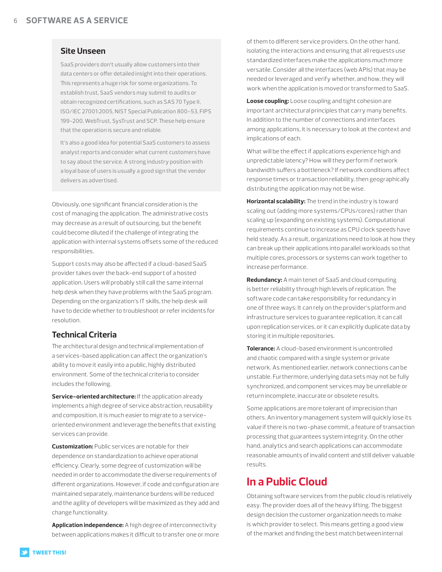#### **Site Unseen**

SaaS providers don't usually allow customers into their data centers or offer detailed insight into their operations. This represents a huge risk for some organizations. To establish trust, SaaS vendors may submit to audits or obtain recognized certifications, such as SAS 70 Type II, ISO/IEC 27001:2005, NIST Special Publication 800-53, FIPS 199-200, WebTrust, SysTrust and SCP. These help ensure that the operation is secure and reliable.

It's also a good idea for potential SaaS customers to assess analyst reports and consider what current customers have to say about the service. A strong industry position with a loyal base of users is usually a good sign that the vendor delivers as advertised.

Obviously, one significant financial consideration is the cost of managing the application. The administrative costs may decrease as a result of outsourcing, but the benefit could become diluted if the challenge of integrating the application with internal systems offsets some of the reduced responsibilities.

Support costs may also be affected if a cloud-based SaaS provider takes over the back-end support of a hosted application. Users will probably still call the same internal help desk when they have problems with the SaaS program. Depending on the organization's IT skills, the help desk will have to decide whether to troubleshoot or refer incidents for resolution.

#### **Technical Criteria**

The architectural design and technical implementation of a services-based application can affect the organization's ability to move it easily into a public, highly distributed environment. Some of the technical criteria to consider includes the following.

**Service-oriented architecture:** If the application already implements a high degree of service abstraction, reusability and composition, it is much easier to migrate to a serviceoriented environment and leverage the benefits that existing services can provide.

**Customization:** Public services are notable for their dependence on standardization to achieve operational efficiency. Clearly, some degree of customization will be needed in order to accommodate the diverse requirements of different organizations. However, if code and configuration are maintained separately, maintenance burdens will be reduced and the agility of developers will be maximized as they add and change functionality.

**Application independence:** A high degree of interconnectivity between applications makes it difficult to transfer one or more of them to different service providers. On the other hand, isolating the interactions and ensuring that all requests use standardized interfaces make the applications much more versatile. Consider all the interfaces (web APIs) that may be needed or leveraged and verify whether, and how, they will work when the application is moved or transformed to SaaS.

**Loose coupling:** Loose coupling and tight cohesion are important architectural principles that carry many benefits. In addition to the number of connections and interfaces among applications, it is necessary to look at the context and implications of each.

What will be the effect if applications experience high and unpredictable latency? How will they perform if network bandwidth suffers a bottleneck? If network conditions affect response times or transaction reliability, then geographically distributing the application may not be wise.

**Horizontal scalability:** The trend in the industry is toward scaling out (adding more systems/CPUs/cores) rather than scaling up (expanding on existing systems). Computational requirements continue to increase as CPU clock speeds have held steady. As a result, organizations need to look at how they can break up their applications into parallel workloads so that multiple cores, processors or systems can work together to increase performance.

**Redundancy:** A main tenet of SaaS and cloud computing is better reliability through high levels of replication. The software code can take responsibility for redundancy in one of three ways: It can rely on the provider's platform and infrastructure services to guarantee replication, it can call upon replication services, or it can explicitly duplicate data by storing it in multiple repositories.

**Tolerance:** A cloud-based environment is uncontrolled and chaotic compared with a single system or private network. As mentioned earlier, network connections can be unstable. Furthermore, underlying data sets may not be fully synchronized, and component services may be unreliable or return incomplete, inaccurate or obsolete results.

Some applications are more tolerant of imprecision than others. An inventory management system will quickly lose its value if there is no two-phase commit, a feature of transaction processing that guarantees system integrity. On the other hand, analytics and search applications can accommodate reasonable amounts of invalid content and still deliver valuable results.

## **In a Public Cloud**

Obtaining software services from the public cloud is relatively easy. The provider does all of the heavy lifting. The biggest design decision the customer organization needs to make is which provider to select. This means getting a good view of the market and finding the best match between internal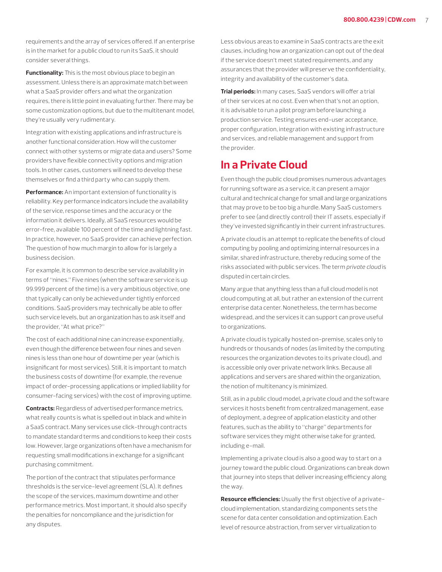requirements and the array of services offered. If an enterprise is in the market for a public cloud to run its SaaS, it should consider several things.

**Functionality:** This is the most obvious place to begin an assessment. Unless there is an approximate match between what a SaaS provider offers and what the organization requires, there is little point in evaluating further. There may be some customization options, but due to the multitenant model, they're usually very rudimentary.

Integration with existing applications and infrastructure is another functional consideration. How will the customer connect with other systems or migrate data and users? Some providers have flexible connectivity options and migration tools. In other cases, customers will need to develop these themselves or find a third party who can supply them.

**Performance:** An important extension of functionality is reliability. Key performance indicators include the availability of the service, response times and the accuracy or the information it delivers. Ideally, all SaaS resources would be error-free, available 100 percent of the time and lightning fast. In practice, however, no SaaS provider can achieve perfection. The question of how much margin to allow for is largely a business decision.

For example, it is common to describe service availability in terms of "nines." Five nines (when the software service is up 99.999 percent of the time) is a very ambitious objective, one that typically can only be achieved under tightly enforced conditions. SaaS providers may technically be able to offer such service levels, but an organization has to ask itself and the provider, "At what price?"

The cost of each additional nine can increase exponentially, even though the difference between four nines and seven nines is less than one hour of downtime per year (which is insignificant for most services). Still, it is important to match the business costs of downtime (for example, the revenue impact of order-processing applications or implied liability for consumer-facing services) with the cost of improving uptime.

**Contracts:** Regardless of advertised performance metrics, what really counts is what is spelled out in black and white in a SaaS contract. Many services use click-through contracts to mandate standard terms and conditions to keep their costs low. However, large organizations often have a mechanism for requesting small modifications in exchange for a significant purchasing commitment.

The portion of the contract that stipulates performance thresholds is the service-level agreement (SLA). It defines the scope of the services, maximum downtime and other performance metrics. Most important, it should also specify the penalties for noncompliance and the jurisdiction for any disputes.

Less obvious areas to examine in SaaS contracts are the exit clauses, including how an organization can opt out of the deal if the service doesn't meet stated requirements, and any assurances that the provider will preserve the confidentiality, integrity and availability of the customer's data.

**Trial periods:** In many cases, SaaS vendors will offer a trial of their services at no cost. Even when that's not an option, it is advisable to run a pilot program before launching a production service. Testing ensures end-user acceptance, proper configuration, integration with existing infrastructure and services, and reliable management and support from the provider.

## **In a Private Cloud**

Even though the public cloud promises numerous advantages for running software as a service, it can present a major cultural and technical change for small and large organizations that may prove to be too big a hurdle. Many SaaS customers prefer to see (and directly control) their IT assets, especially if they've invested significantly in their current infrastructures.

A private cloud is an attempt to replicate the benefits of cloud computing by pooling and optimizing internal resources in a similar, shared infrastructure, thereby reducing some of the risks associated with public services. The term *private cloud* is disputed in certain circles.

Many argue that anything less than a full cloud model is not cloud computing at all, but rather an extension of the current enterprise data center. Nonetheless, the term has become widespread, and the services it can support can prove useful to organizations.

A private cloud is typically hosted on-premise, scales only to hundreds or thousands of nodes (as limited by the computing resources the organization devotes to its private cloud), and is accessible only over private network links. Because all applications and servers are shared within the organization, the notion of multitenancy is minimized.

Still, as in a public cloud model, a private cloud and the software services it hosts benefit from centralized management, ease of deployment, a degree of application elasticity and other features, such as the ability to "charge" departments for software services they might otherwise take for granted, including e-mail.

Implementing a private cloud is also a good way to start on a journey toward the public cloud. Organizations can break down that journey into steps that deliver increasing efficiency along the way.

**Resource efficiencies:** Usually the first objective of a privatecloud implementation, standardizing components sets the scene for data center consolidation and optimization. Each level of resource abstraction, from server virtualization to